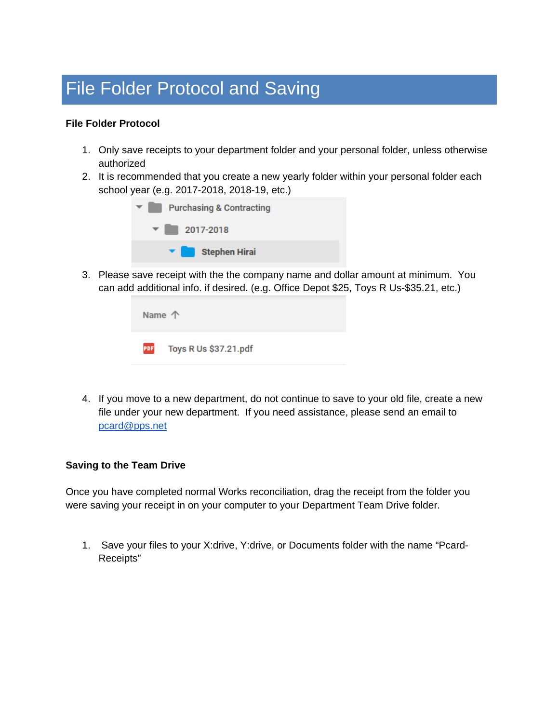## File Folder Protocol and Saving

## **File Folder Protocol**

- 1. Only save receipts to your department folder and your personal folder, unless otherwise authorized
- 2. It is recommended that you create a new yearly folder within your personal folder each school year (e.g. 2017-2018, 2018-19, etc.)



3. Please save receipt with the the company name and dollar amount at minimum. You can add additional info. if desired. (e.g. Office Depot \$25, Toys R Us-\$35.21, etc.)

| Name $\uparrow$ |                           |  |
|-----------------|---------------------------|--|
|                 | PDF Toys R Us \$37.21.pdf |  |

4. If you move to a new department, do not continue to save to your old file, create a new file under your new department. If you need assistance, please send an email to [pcard@pps.net](mailto:pcard@pps.net)

## **Saving to the Team Drive**

Once you have completed normal Works reconciliation, drag the receipt from the folder you were saving your receipt in on your computer to your Department Team Drive folder.

1. Save your files to your X:drive, Y:drive, or Documents folder with the name "Pcard-Receipts"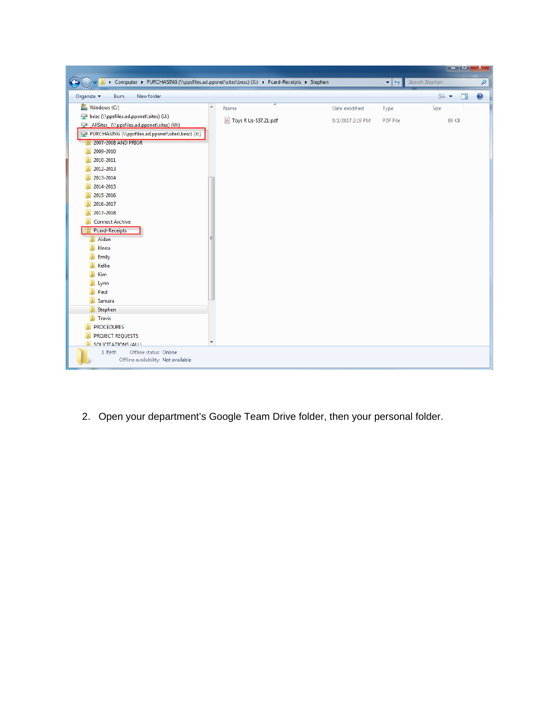|                                                                                           |                       |                  |                                    | الهارس         | x         |  |
|-------------------------------------------------------------------------------------------|-----------------------|------------------|------------------------------------|----------------|-----------|--|
| > Computer > PURCHASING (\\ppsfiles.ad.ppsnet\sites\besc) (X:) > Pcard-Receipts > Stephen |                       |                  | $\bigstar$<br>$\blacktriangledown$ | Search Stephen | ۹         |  |
| New folder<br>Organize v<br>Burn                                                          |                       |                  |                                    | BE +<br>$\Box$ | $\bullet$ |  |
| Windows (C:)<br>۸                                                                         | Name                  | Date modified    | Type                               | Size           |           |  |
| besc (\\ppsfiles.ad.ppsnet\sites) (U:)                                                    | Toys R Us-\$37.21.pdf | 6/1/2017 2:19 PM | <b>PDF File</b>                    | 69 KB          |           |  |
| AllSites (\\ppsfiles.ad.ppsnet\sites) (W:)                                                |                       |                  |                                    |                |           |  |
| PURCHASING (\\ppsfiles.ad.ppsnet\sites\besc) (X:)                                         |                       |                  |                                    |                |           |  |
| 2007-2008 AND PRIOR                                                                       |                       |                  |                                    |                |           |  |
| 2009-2010                                                                                 |                       |                  |                                    |                |           |  |
| 2010-2011                                                                                 |                       |                  |                                    |                |           |  |
| 2012-2013                                                                                 |                       |                  |                                    |                |           |  |
| 2013-2014                                                                                 |                       |                  |                                    |                |           |  |
| 2014-2015                                                                                 |                       |                  |                                    |                |           |  |
| 2015-2016                                                                                 |                       |                  |                                    |                |           |  |
| 2016-2017                                                                                 |                       |                  |                                    |                |           |  |
| 2017-2018                                                                                 |                       |                  |                                    |                |           |  |
| <b>Connect Archive</b>                                                                    |                       |                  |                                    |                |           |  |
| Pcard-Receipts                                                                            |                       |                  |                                    |                |           |  |
| Aidan<br>Ξ                                                                                |                       |                  |                                    |                |           |  |
| Eloisa                                                                                    |                       |                  |                                    |                |           |  |
| Emily                                                                                     |                       |                  |                                    |                |           |  |
| Kellie                                                                                    |                       |                  |                                    |                |           |  |
| Kim                                                                                       |                       |                  |                                    |                |           |  |
| Lynn<br>Paul                                                                              |                       |                  |                                    |                |           |  |
| Samara                                                                                    |                       |                  |                                    |                |           |  |
| Stephen                                                                                   |                       |                  |                                    |                |           |  |
| <b>Travis</b>                                                                             |                       |                  |                                    |                |           |  |
| <b>PROCEDURES</b>                                                                         |                       |                  |                                    |                |           |  |
| <b>PROJECT REQUESTS</b>                                                                   |                       |                  |                                    |                |           |  |
| ۰<br>SOLICITATIONS (ALL)                                                                  |                       |                  |                                    |                |           |  |
| Offline status: Online<br>1 item                                                          |                       |                  |                                    |                |           |  |
| Offline availability: Not available                                                       |                       |                  |                                    |                |           |  |
|                                                                                           |                       |                  |                                    |                |           |  |

2. Open your department's Google Team Drive folder, then your personal folder.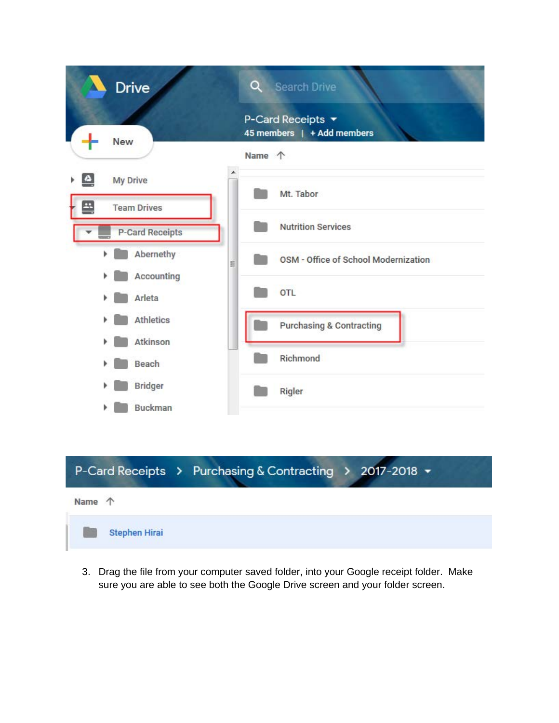| <b>Drive</b>                   | Q<br><b>Search Drive</b>                        |
|--------------------------------|-------------------------------------------------|
| <b>New</b>                     | P-Card Receipts ▼<br>45 members   + Add members |
|                                | Name 个                                          |
| $\triangle$<br><b>My Drive</b> | Mt. Tabor                                       |
| 씍<br><b>Team Drives</b>        |                                                 |
| <b>P-Card Receipts</b>         | <b>Nutrition Services</b>                       |
| Abernethy<br>r<br>E            | OSM - Office of School Modernization            |
| Accounting                     |                                                 |
| Arleta                         | OTL                                             |
| <b>Athletics</b>               | <b>Purchasing &amp; Contracting</b>             |
| Atkinson                       |                                                 |
| Beach                          | Richmond                                        |
| <b>Bridger</b>                 | Rigler                                          |
| <b>Buckman</b>                 |                                                 |

## P-Card Receipts > Purchasing & Contracting > 2017-2018 +



3. Drag the file from your computer saved folder, into your Google receipt folder. Make sure you are able to see both the Google Drive screen and your folder screen.